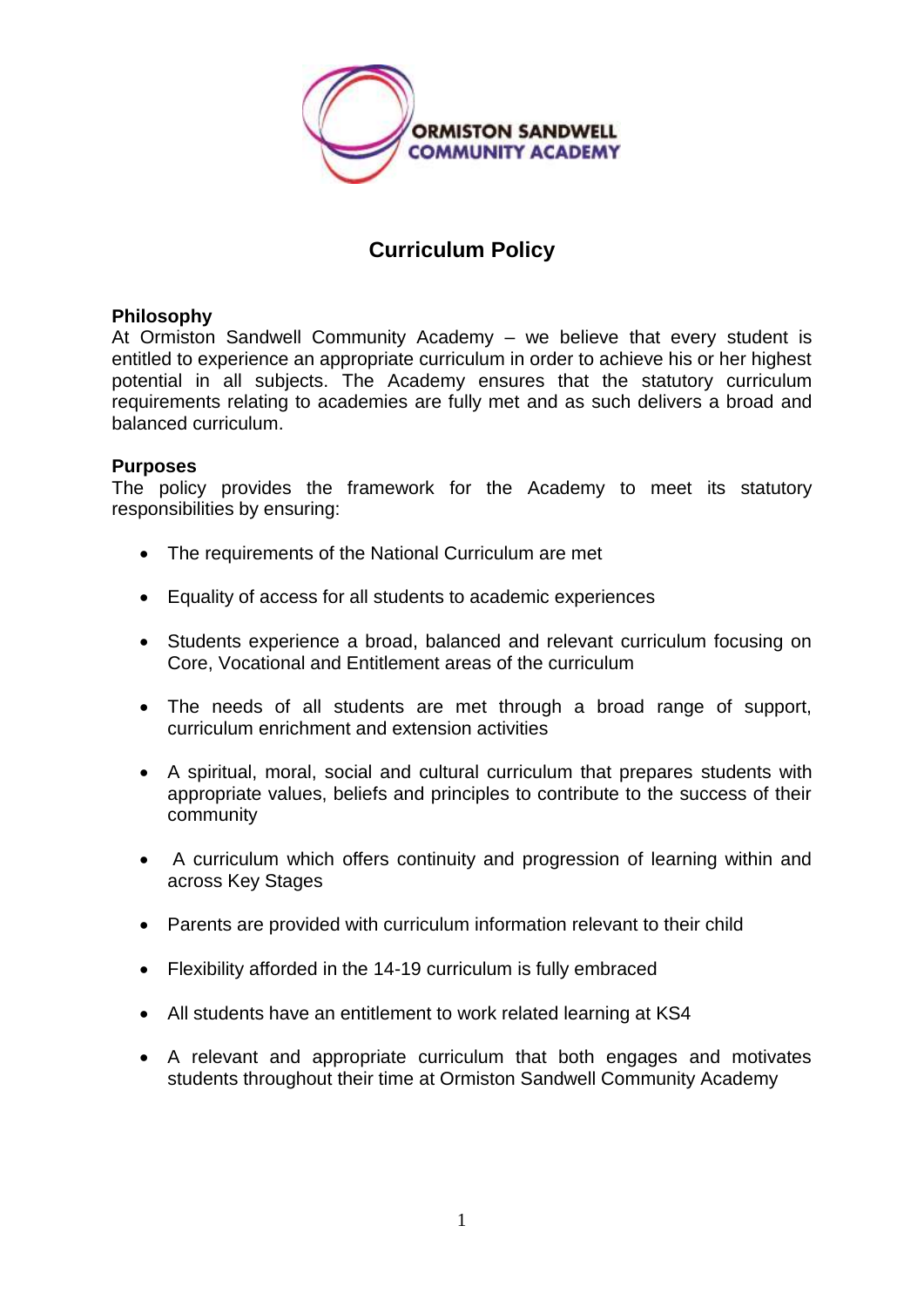

## **Curriculum Policy**

## **Philosophy**

At Ormiston Sandwell Community Academy – we believe that every student is entitled to experience an appropriate curriculum in order to achieve his or her highest potential in all subjects. The Academy ensures that the statutory curriculum requirements relating to academies are fully met and as such delivers a broad and balanced curriculum.

## **Purposes**

The policy provides the framework for the Academy to meet its statutory responsibilities by ensuring:

- The requirements of the National Curriculum are met
- Equality of access for all students to academic experiences
- Students experience a broad, balanced and relevant curriculum focusing on Core, Vocational and Entitlement areas of the curriculum
- The needs of all students are met through a broad range of support, curriculum enrichment and extension activities
- A spiritual, moral, social and cultural curriculum that prepares students with appropriate values, beliefs and principles to contribute to the success of their community
- A curriculum which offers continuity and progression of learning within and across Key Stages
- Parents are provided with curriculum information relevant to their child
- Flexibility afforded in the 14-19 curriculum is fully embraced
- All students have an entitlement to work related learning at KS4
- A relevant and appropriate curriculum that both engages and motivates students throughout their time at Ormiston Sandwell Community Academy